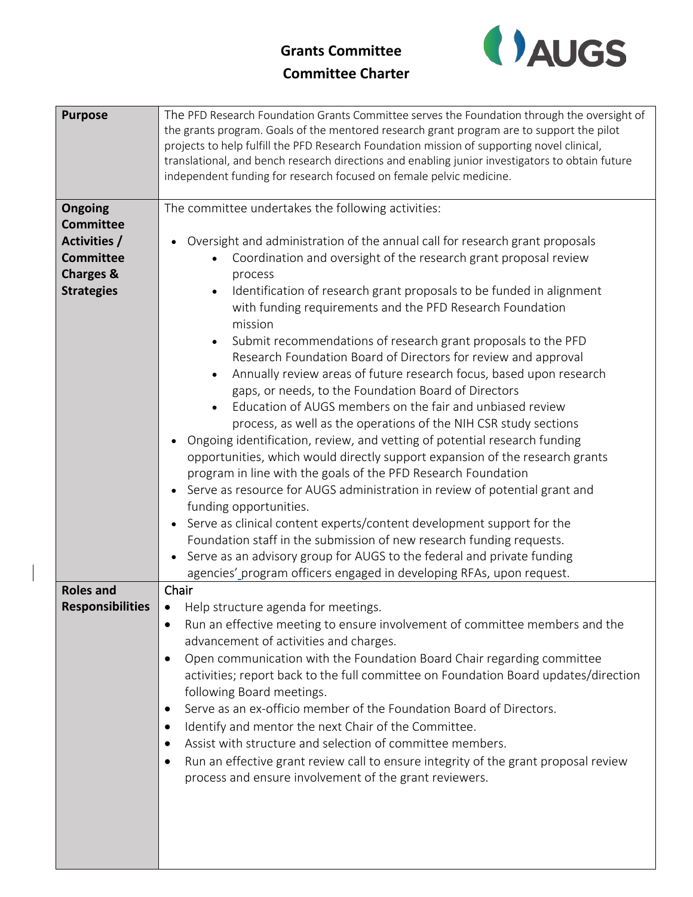## **Grants Committee Committee Charter**



| <b>Purpose</b>          | The PFD Research Foundation Grants Committee serves the Foundation through the oversight of     |
|-------------------------|-------------------------------------------------------------------------------------------------|
|                         | the grants program. Goals of the mentored research grant program are to support the pilot       |
|                         | projects to help fulfill the PFD Research Foundation mission of supporting novel clinical,      |
|                         | translational, and bench research directions and enabling junior investigators to obtain future |
|                         | independent funding for research focused on female pelvic medicine.                             |
|                         |                                                                                                 |
| Ongoing                 | The committee undertakes the following activities:                                              |
| <b>Committee</b>        |                                                                                                 |
| Activities /            | Oversight and administration of the annual call for research grant proposals                    |
| <b>Committee</b>        | Coordination and oversight of the research grant proposal review                                |
| <b>Charges &amp;</b>    | process                                                                                         |
| <b>Strategies</b>       | Identification of research grant proposals to be funded in alignment                            |
|                         | with funding requirements and the PFD Research Foundation                                       |
|                         | mission                                                                                         |
|                         | Submit recommendations of research grant proposals to the PFD                                   |
|                         | Research Foundation Board of Directors for review and approval                                  |
|                         | Annually review areas of future research focus, based upon research                             |
|                         | gaps, or needs, to the Foundation Board of Directors                                            |
|                         | Education of AUGS members on the fair and unbiased review                                       |
|                         | process, as well as the operations of the NIH CSR study sections                                |
|                         | Ongoing identification, review, and vetting of potential research funding<br>$\bullet$          |
|                         | opportunities, which would directly support expansion of the research grants                    |
|                         | program in line with the goals of the PFD Research Foundation                                   |
|                         | Serve as resource for AUGS administration in review of potential grant and                      |
|                         | funding opportunities.                                                                          |
|                         | Serve as clinical content experts/content development support for the                           |
|                         | Foundation staff in the submission of new research funding requests.                            |
|                         | Serve as an advisory group for AUGS to the federal and private funding<br>$\bullet$             |
|                         | agencies' program officers engaged in developing RFAs, upon request.                            |
| <b>Roles and</b>        | Chair                                                                                           |
| <b>Responsibilities</b> | • Help structure agenda for meetings.                                                           |
|                         | Run an effective meeting to ensure involvement of committee members and the                     |
|                         | advancement of activities and charges.                                                          |
|                         | Open communication with the Foundation Board Chair regarding committee<br>$\bullet$             |
|                         | activities; report back to the full committee on Foundation Board updates/direction             |
|                         | following Board meetings.                                                                       |
|                         | Serve as an ex-officio member of the Foundation Board of Directors.                             |
|                         | Identify and mentor the next Chair of the Committee.<br>$\bullet$                               |
|                         | Assist with structure and selection of committee members.<br>٠                                  |
|                         | Run an effective grant review call to ensure integrity of the grant proposal review             |
|                         | process and ensure involvement of the grant reviewers.                                          |
|                         |                                                                                                 |
|                         |                                                                                                 |
|                         |                                                                                                 |
|                         |                                                                                                 |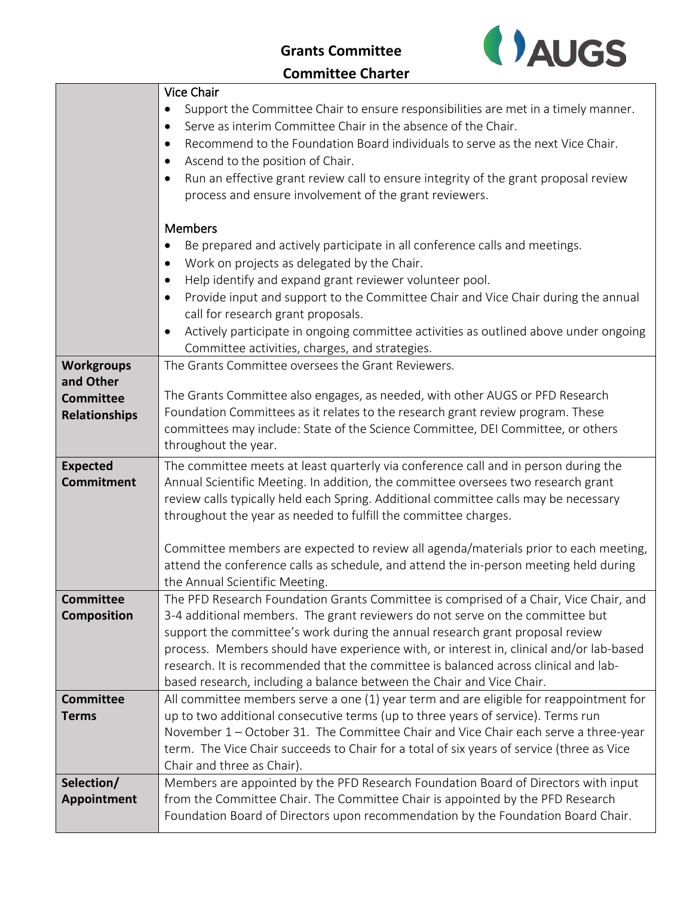**Grants Committee**



## **Committee Charter**

|                      | Vice Chair                                                                                                                                                         |
|----------------------|--------------------------------------------------------------------------------------------------------------------------------------------------------------------|
|                      | Support the Committee Chair to ensure responsibilities are met in a timely manner.                                                                                 |
|                      | Serve as interim Committee Chair in the absence of the Chair.<br>٠                                                                                                 |
|                      | Recommend to the Foundation Board individuals to serve as the next Vice Chair.<br>$\bullet$                                                                        |
|                      | Ascend to the position of Chair.<br>$\bullet$                                                                                                                      |
|                      | Run an effective grant review call to ensure integrity of the grant proposal review                                                                                |
|                      | process and ensure involvement of the grant reviewers.                                                                                                             |
|                      |                                                                                                                                                                    |
|                      | <b>Members</b>                                                                                                                                                     |
|                      | Be prepared and actively participate in all conference calls and meetings.                                                                                         |
|                      | Work on projects as delegated by the Chair.<br>$\bullet$                                                                                                           |
|                      | Help identify and expand grant reviewer volunteer pool.<br>$\bullet$                                                                                               |
|                      | Provide input and support to the Committee Chair and Vice Chair during the annual<br>$\bullet$                                                                     |
|                      | call for research grant proposals.                                                                                                                                 |
|                      | Actively participate in ongoing committee activities as outlined above under ongoing<br>$\bullet$                                                                  |
|                      | Committee activities, charges, and strategies.                                                                                                                     |
| <b>Workgroups</b>    | The Grants Committee oversees the Grant Reviewers.                                                                                                                 |
| and Other            |                                                                                                                                                                    |
| <b>Committee</b>     | The Grants Committee also engages, as needed, with other AUGS or PFD Research                                                                                      |
| <b>Relationships</b> | Foundation Committees as it relates to the research grant review program. These                                                                                    |
|                      | committees may include: State of the Science Committee, DEI Committee, or others                                                                                   |
|                      | throughout the year.                                                                                                                                               |
|                      |                                                                                                                                                                    |
| <b>Expected</b>      | The committee meets at least quarterly via conference call and in person during the                                                                                |
| <b>Commitment</b>    | Annual Scientific Meeting. In addition, the committee oversees two research grant                                                                                  |
|                      | review calls typically held each Spring. Additional committee calls may be necessary                                                                               |
|                      | throughout the year as needed to fulfill the committee charges.                                                                                                    |
|                      |                                                                                                                                                                    |
|                      | Committee members are expected to review all agenda/materials prior to each meeting,                                                                               |
|                      | attend the conference calls as schedule, and attend the in-person meeting held during                                                                              |
|                      | the Annual Scientific Meeting.                                                                                                                                     |
| <b>Committee</b>     | The PFD Research Foundation Grants Committee is comprised of a Chair, Vice Chair, and                                                                              |
| <b>Composition</b>   | 3-4 additional members. The grant reviewers do not serve on the committee but                                                                                      |
|                      | support the committee's work during the annual research grant proposal review                                                                                      |
|                      | process. Members should have experience with, or interest in, clinical and/or lab-based                                                                            |
|                      | research. It is recommended that the committee is balanced across clinical and lab-                                                                                |
|                      | based research, including a balance between the Chair and Vice Chair.                                                                                              |
| <b>Committee</b>     | All committee members serve a one (1) year term and are eligible for reappointment for                                                                             |
| <b>Terms</b>         | up to two additional consecutive terms (up to three years of service). Terms run                                                                                   |
|                      | November 1 – October 31. The Committee Chair and Vice Chair each serve a three-year                                                                                |
|                      | term. The Vice Chair succeeds to Chair for a total of six years of service (three as Vice                                                                          |
|                      | Chair and three as Chair).                                                                                                                                         |
| Selection/           | Members are appointed by the PFD Research Foundation Board of Directors with input                                                                                 |
| Appointment          | from the Committee Chair. The Committee Chair is appointed by the PFD Research<br>Foundation Board of Directors upon recommendation by the Foundation Board Chair. |